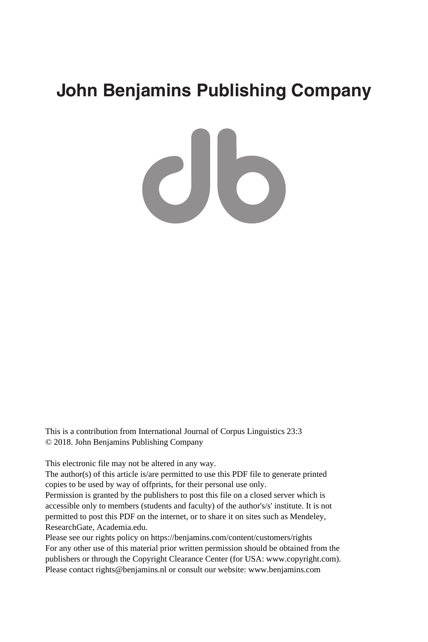# **John Benjamins Publishing Company**

CIO

This is a contribution from International Journal of Corpus Linguistics 23:3 © 2018. John Benjamins Publishing Company

This electronic file may not be altered in any way.

The author(s) of this article is/are permitted to use this PDF file to generate printed copies to be used by way of offprints, for their personal use only.

Permission is granted by the publishers to post this file on a closed server which is accessible only to members (students and faculty) of the author's/s' institute. It is not permitted to post this PDF on the internet, or to share it on sites such as Mendeley, ResearchGate, Academia.edu.

Please see our rights policy on https://benjamins.com/content/customers/rights For any other use of this material prior written permission should be obtained from the publishers or through the Copyright Clearance Center (for USA: www.copyright.com). Please contact rights@benjamins.nl or consult our website: www.benjamins.com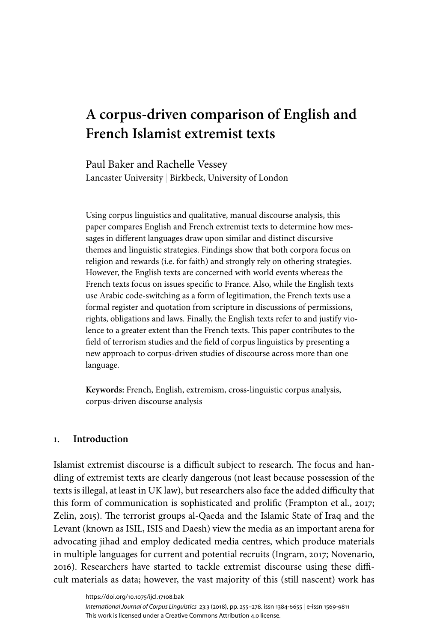# **A corpus-driven comparison of English and French Islamist extremist texts**

Paul Baker and Rachelle Vessey Lancaster University | Birkbeck, University of London

Using corpus linguistics and qualitative, manual discourse analysis, this paper compares English and French extremist texts to determine how messages in different languages draw upon similar and distinct discursive themes and linguistic strategies. Findings show that both corpora focus on religion and rewards (i.e. for faith) and strongly rely on othering strategies. However, the English texts are concerned with world events whereas the French texts focus on issues specific to France. Also, while the English texts use Arabic code-switching as a form of legitimation, the French texts use a formal register and quotation from scripture in discussions of permissions, rights, obligations and laws. Finally, the English texts refer to and justify violence to a greater extent than the French texts. This paper contributes to the field of terrorism studies and the field of corpus linguistics by presenting a new approach to corpus-driven studies of discourse across more than one language.

**Keywords:** French, English, extremism, cross-linguistic corpus analysis, corpus-driven discourse analysis

## **1. Introduction**

Islamist extremist discourse is a difficult subject to research. The focus and handling of extremist texts are clearly dangerous (not least because possession of the texts is illegal, at least in UK law), but researchers also face the added difficulty that this form of communication is sophisticated and prolific ([Frampton](#page-22-0) et al., 2017; [Zelin,](#page-23-0) 2015). The terrorist groups al-Qaeda and the Islamic State of Iraq and the Levant (known as ISIL, ISIS and Daesh) view the media as an important arena for advocating jihad and employ dedicated media centres, which produce materials in multiple languages for current and potential recruits ([Ingram,](#page-22-1) 2017; [Novenario,](#page-23-1) [2016\)](#page-23-1). Researchers have started to tackle extremist discourse using these difficult materials as data; however, the vast majority of this (still nascent) work has

<https://doi.org/10.1075/ijcl.17108.bak> *International Journal of Corpus Linguistics* [23:3](/journals/ijcl/list/issue/ijcl.23.3) (2018), pp. 255–[278.](#page-24-0) issn 1384-6655 | e‑issn 1569-9811 This work is licensed under a Creative Commons Attribution 4.0 license.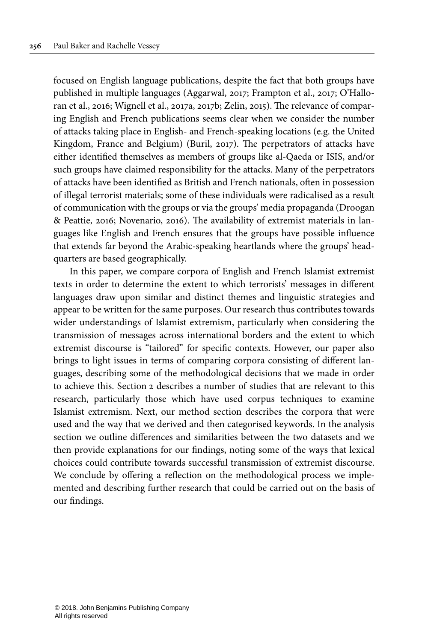focused on English language publications, despite the fact that both groups have published in multiple languages ([Aggarwal,](#page-22-2) 2017; [Frampton](#page-22-0) et al., 2017; [O'Hallo](#page-23-2)ran et al., [2016;](#page-23-2) [Wignell](#page-23-3) et al., 2017a, [2017b;](#page-23-4) [Zelin,](#page-23-0) 2015). The relevance of comparing English and French publications seems clear when we consider the number of attacks taking place in English- and French-speaking locations (e.g. the United Kingdom, France and Belgium) [\(Buril,](#page-22-3) 2017). The perpetrators of attacks have either identified themselves as members of groups like al-Qaeda or ISIS, and/or such groups have claimed responsibility for the attacks. Many of the perpetrators of attacks have been identified as British and French nationals, often in possession of illegal terrorist materials; some of these individuals were radicalised as a result of communication with the groups or via the groups' media propaganda [\(Droogan](#page-22-4) & [Peattie,](#page-22-4) 2016; [Novenario,](#page-23-1) 2016). The availability of extremist materials in languages like English and French ensures that the groups have possible influence that extends far beyond the Arabic-speaking heartlands where the groups' headquarters are based geographically.

In this paper, we compare corpora of English and French Islamist extremist texts in order to determine the extent to which terrorists' messages in different languages draw upon similar and distinct themes and linguistic strategies and appear to be written for the same purposes. Our research thus contributes towards wider understandings of Islamist extremism, particularly when considering the transmission of messages across international borders and the extent to which extremist discourse is "tailored" for specific contexts. However, our paper also brings to light issues in terms of comparing corpora consisting of different languages, describing some of the methodological decisions that we made in order to achieve this. [Section](#page-3-0) 2 describes a number of studies that are relevant to this research, particularly those which have used corpus techniques to examine Islamist extremism. Next, our method section describes the corpora that were used and the way that we derived and then categorised keywords. In the analysis section we outline differences and similarities between the two datasets and we then provide explanations for our findings, noting some of the ways that lexical choices could contribute towards successful transmission of extremist discourse. We conclude by offering a reflection on the methodological process we implemented and describing further research that could be carried out on the basis of our findings.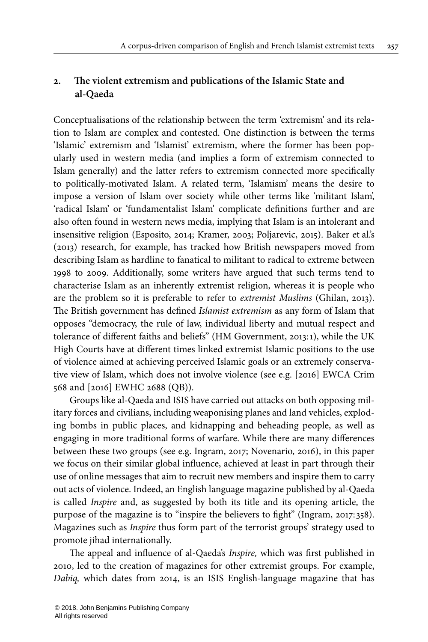# <span id="page-3-0"></span>**2. The violent extremism and publications of the Islamic State and al-Qaeda**

Conceptualisations of the relationship between the term 'extremism' and its relation to Islam are complex and contested. One distinction is between the terms 'Islamic' extremism and 'Islamist' extremism, where the former has been popularly used in western media (and implies a form of extremism connected to Islam generally) and the latter refers to extremism connected more specifically to politically-motivated Islam. A related term, 'Islamism' means the desire to impose a version of Islam over society while other terms like 'militant Islam', 'radical Islam' or 'fundamentalist Islam' complicate definitions further and are also often found in western news media, implying that Islam is an intolerant and insensitive religion [\(Esposito,](#page-22-5) 2014; [Kramer,](#page-22-6) 2003; Poljarevic, 2015). [Baker](#page-22-7) et al.'s [\(2013\)](#page-22-7) research, for example, has tracked how British newspapers moved from describing Islam as hardline to fanatical to militant to radical to extreme between 1998 to 2009. Additionally, some writers have argued that such terms tend to characterise Islam as an inherently extremist religion, whereas it is people who are the problem so it is preferable to refer to extremist Muslims ([Ghilan,](#page-22-8) 2013). The British government has defined Islamist extremism as any form of Islam that opposes "democracy, the rule of law, individual liberty and mutual respect and tolerance of different faiths and beliefs" (HM [Government,](#page-22-9) 2013:1), while the UK High Courts have at different times linked extremist Islamic positions to the use of violence aimed at achieving perceived Islamic goals or an extremely conservative view of Islam, which does not involve violence (see e.g. [2016] EWCA Crim 568 and [2016] EWHC 2688 (QB)).

Groups like al-Qaeda and ISIS have carried out attacks on both opposing military forces and civilians, including weaponising planes and land vehicles, exploding bombs in public places, and kidnapping and beheading people, as well as engaging in more traditional forms of warfare. While there are many differences between these two groups (see e.g. [Ingram,](#page-22-1) 2017; [Novenario,](#page-23-1) 2016), in this paper we focus on their similar global influence, achieved at least in part through their use of online messages that aim to recruit new members and inspire them to carry out acts of violence. Indeed, an English language magazine published by al-Qaeda is called Inspire and, as suggested by both its title and its opening article, the purpose of the magazine is to "inspire the believers to fight" [\(Ingram,](#page-22-1) 2017: 358). Magazines such as Inspire thus form part of the terrorist groups' strategy used to promote jihad internationally.

The appeal and influence of al-Qaeda's Inspire, which was first published in 2010, led to the creation of magazines for other extremist groups. For example, Dabiq, which dates from 2014, is an ISIS English-language magazine that has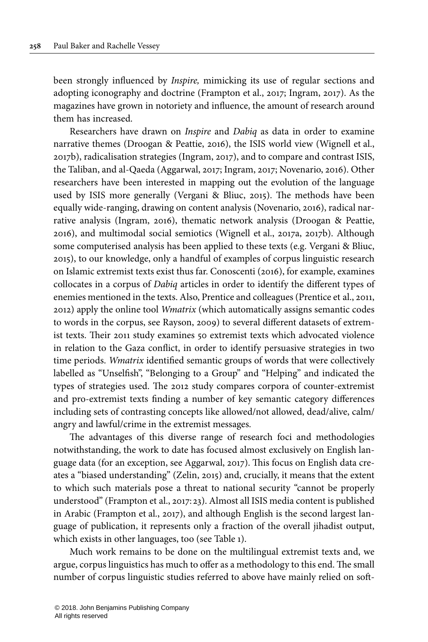been strongly influenced by Inspire, mimicking its use of regular sections and adopting iconography and doctrine [\(Frampton](#page-22-0) et al., 2017; [Ingram,](#page-22-1) 2017). As the magazines have grown in notoriety and influence, the amount of research around them has increased.

Researchers have drawn on Inspire and Dabiq as data in order to examine narrative themes ([Droogan](#page-22-4) & Peattie, 2016), the ISIS world view ([Wignell](#page-23-4) et al., [2017b](#page-23-4)), radicalisation strategies ([Ingram,](#page-22-1) 2017), and to compare and contrast ISIS, the Taliban, and al-Qaeda ([Aggarwal,](#page-22-2) 2017; [Ingram,](#page-22-1) 2017; [Novenario,](#page-23-1) 2016). Other researchers have been interested in mapping out the evolution of the language used by ISIS more generally ([Vergani](#page-23-5) & Bliuc, 2015). The methods have been equally wide-ranging, drawing on content analysis [\(Novenario,](#page-23-1) 2016), radical narrative analysis (Ingram, 2016), thematic network analysis ([Droogan](#page-22-4) & Peattie, [2016\)](#page-22-4), and multimodal social semiotics [\(Wignell](#page-23-3) et al., 2017a, [2017b](#page-23-4)). Although some computerised analysis has been applied to these texts (e.g. [Vergani](#page-23-5) & Bliuc, [2015\)](#page-23-5), to our knowledge, only a handful of examples of corpus linguistic research on Islamic extremist texts exist thus far. [Conoscenti](#page-22-10) (2016), for example, examines collocates in a corpus of Dabiq articles in order to identify the different types of enemies mentioned in the texts. Also, Prentice and colleagues [\(Prentice](#page-23-6) et al., 2011, [2012](#page-23-7)) apply the online tool Wmatrix (which automatically assigns semantic codes to words in the corpus, see [Rayson,](#page-23-8) 2009) to several different datasets of extremist texts. Their 2011 study examines 50 extremist texts which advocated violence in relation to the Gaza conflict, in order to identify persuasive strategies in two time periods. Wmatrix identified semantic groups of words that were collectively labelled as "Unselfish", "Belonging to a Group" and "Helping" and indicated the types of strategies used. The 2012 study compares corpora of counter-extremist and pro-extremist texts finding a number of key semantic category differences including sets of contrasting concepts like allowed/not allowed, dead/alive, calm/ angry and lawful/crime in the extremist messages.

The advantages of this diverse range of research foci and methodologies notwithstanding, the work to date has focused almost exclusively on English language data (for an exception, see [Aggarwal,](#page-22-2) 2017). This focus on English data creates a "biased understanding" ([Zelin,](#page-23-0) 2015) and, crucially, it means that the extent to which such materials pose a threat to national security "cannot be properly understood" ([Frampton](#page-22-0) et al., 2017: 23). Almost all ISIS media content is published in Arabic ([Frampton](#page-22-0) et al., 2017), and although English is the second largest language of publication, it represents only a fraction of the overall jihadist output, which exists in other languages, too (see [Table](#page-5-0) 1).

Much work remains to be done on the multilingual extremist texts and, we argue, corpus linguistics has much to offer as a methodology to this end. The small number of corpus linguistic studies referred to above have mainly relied on soft-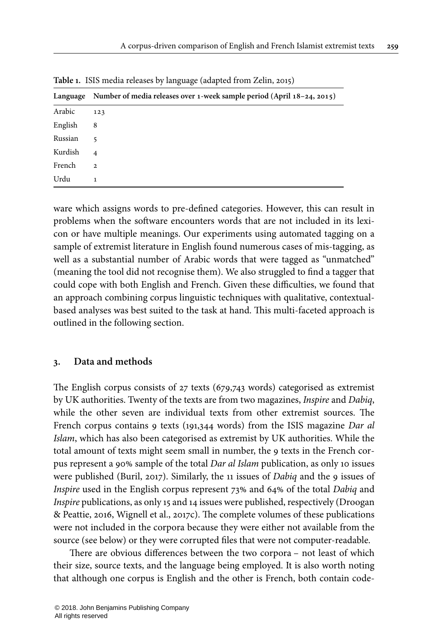|         | Language Number of media releases over 1-week sample period (April 18-24, 2015) |  |  |
|---------|---------------------------------------------------------------------------------|--|--|
| Arabic  | 123                                                                             |  |  |
| English | 8                                                                               |  |  |
| Russian | 5                                                                               |  |  |
| Kurdish | $\overline{4}$                                                                  |  |  |
| French  | $\overline{2}$                                                                  |  |  |
| Urdu    | 1                                                                               |  |  |

<span id="page-5-0"></span>**Table 1.** ISIS media releases by language (adapted from [Zelin, 2015\)](#page-23-0)

ware which assigns words to pre-defined categories. However, this can result in problems when the software encounters words that are not included in its lexicon or have multiple meanings. Our experiments using automated tagging on a sample of extremist literature in English found numerous cases of mis-tagging, as well as a substantial number of Arabic words that were tagged as "unmatched" (meaning the tool did not recognise them). We also struggled to find a tagger that could cope with both English and French. Given these difficulties, we found that an approach combining corpus linguistic techniques with qualitative, contextualbased analyses was best suited to the task at hand. This multi-faceted approach is outlined in the following section.

#### **3. Data and methods**

The English corpus consists of 27 texts (679,743 words) categorised as extremist by UK authorities. Twenty of the texts are from two magazines, Inspire and Dabiq, while the other seven are individual texts from other extremist sources. The French corpus contains 9 texts (191,344 words) from the ISIS magazine Dar al Islam, which has also been categorised as extremist by UK authorities. While the total amount of texts might seem small in number, the 9 texts in the French corpus represent a 90% sample of the total Dar al Islam publication, as only 10 issues were published [\(Buril,](#page-22-3) 2017). Similarly, the 11 issues of Dabiq and the 9 issues of Inspire used in the English corpus represent 73% and 64% of the total Dabiq and Inspire publications, as only 15 and 14 issues were published, respectively [\(Droogan](#page-22-4) & [Peattie,](#page-22-4) 2016, [Wignell](#page-23-9) et al., 2017c). The complete volumes of these publications were not included in the corpora because they were either not available from the source (see below) or they were corrupted files that were not computer-readable.

There are obvious differences between the two corpora – not least of which their size, source texts, and the language being employed. It is also worth noting that although one corpus is English and the other is French, both contain code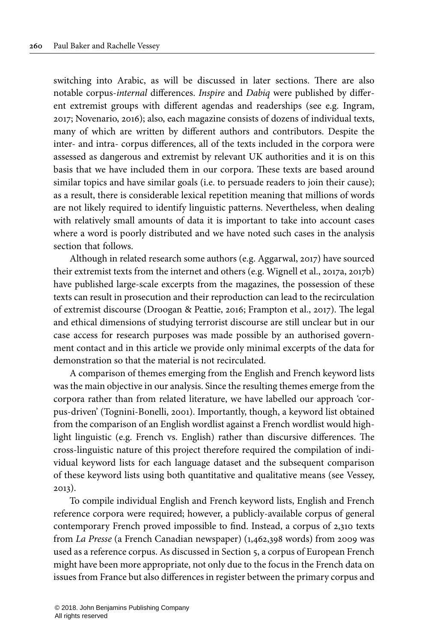switching into Arabic, as will be discussed in later sections. There are also notable corpus-internal differences. Inspire and Dabiq were published by different extremist groups with different agendas and readerships (see e.g. [Ingram,](#page-22-1) [2017](#page-22-1); [Novenario,](#page-23-1) 2016); also, each magazine consists of dozens of individual texts, many of which are written by different authors and contributors. Despite the inter- and intra- corpus differences, all of the texts included in the corpora were assessed as dangerous and extremist by relevant UK authorities and it is on this basis that we have included them in our corpora. These texts are based around similar topics and have similar goals (i.e. to persuade readers to join their cause); as a result, there is considerable lexical repetition meaning that millions of words are not likely required to identify linguistic patterns. Nevertheless, when dealing with relatively small amounts of data it is important to take into account cases where a word is poorly distributed and we have noted such cases in the analysis section that follows.

Although in related research some authors (e.g. [Aggarwal,](#page-22-2) 2017) have sourced their extremist texts from the internet and others (e.g. [Wignell](#page-23-3) et al., 2017a, [2017b](#page-23-4)) have published large-scale excerpts from the magazines, the possession of these texts can result in prosecution and their reproduction can lead to the recirculation of extremist discourse ([Droogan](#page-22-4) & Peattie, 2016; [Frampton](#page-22-0) et al., 2017). The legal and ethical dimensions of studying terrorist discourse are still unclear but in our case access for research purposes was made possible by an authorised government contact and in this article we provide only minimal excerpts of the data for demonstration so that the material is not recirculated.

A comparison of themes emerging from the English and French keyword lists was the main objective in our analysis. Since the resulting themes emerge from the corpora rather than from related literature, we have labelled our approach 'corpus-driven' [\(Tognini-Bonelli,](#page-23-10) 2001). Importantly, though, a keyword list obtained from the comparison of an English wordlist against a French wordlist would highlight linguistic (e.g. French vs. English) rather than discursive differences. The cross-linguistic nature of this project therefore required the compilation of individual keyword lists for each language dataset and the subsequent comparison of these keyword lists using both quantitative and qualitative means (see [Vessey,](#page-23-11) [2013\)](#page-23-11).

To compile individual English and French keyword lists, English and French reference corpora were required; however, a publicly-available corpus of general contemporary French proved impossible to find. Instead, a corpus of 2,310 texts from La Presse (a French Canadian newspaper) (1,462,398 words) from 2009 was used as a reference corpus. As discussed in [Section](#page-20-0) 5, a corpus of European French might have been more appropriate, not only due to the focus in the French data on issues from France but also differences in register between the primary corpus and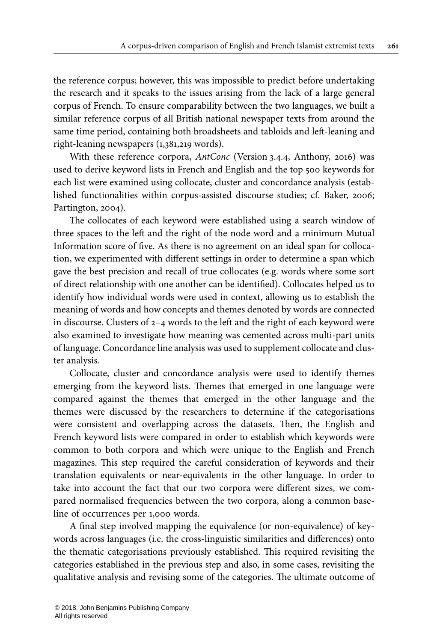the reference corpus; however, this was impossible to predict before undertaking the research and it speaks to the issues arising from the lack of a large general corpus of French. To ensure comparability between the two languages, we built a similar reference corpus of all British national newspaper texts from around the same time period, containing both broadsheets and tabloids and left-leaning and right-leaning newspapers (1,381,219 words).

With these reference corpora, AntConc (Version 3.4.4, [Anthony,](#page-22-11) 2016) was used to derive keyword lists in French and English and the top 500 keywords for each list were examined using collocate, cluster and concordance analysis (established functionalities within corpus-assisted discourse studies; cf. [Baker,](#page-22-12) 2006; [Partington, 2004](#page-23-12)).

The collocates of each keyword were established using a search window of three spaces to the left and the right of the node word and a minimum Mutual Information score of five. As there is no agreement on an ideal span for collocation, we experimented with different settings in order to determine a span which gave the best precision and recall of true collocates (e.g. words where some sort of direct relationship with one another can be identified). Collocates helped us to identify how individual words were used in context, allowing us to establish the meaning of words and how concepts and themes denoted by words are connected in discourse. Clusters of 2–4 words to the left and the right of each keyword were also examined to investigate how meaning was cemented across multi-part units of language. Concordance line analysis was used to supplement collocate and cluster analysis.

Collocate, cluster and concordance analysis were used to identify themes emerging from the keyword lists. Themes that emerged in one language were compared against the themes that emerged in the other language and the themes were discussed by the researchers to determine if the categorisations were consistent and overlapping across the datasets. Then, the English and French keyword lists were compared in order to establish which keywords were common to both corpora and which were unique to the English and French magazines. This step required the careful consideration of keywords and their translation equivalents or near-equivalents in the other language. In order to take into account the fact that our two corpora were different sizes, we compared normalised frequencies between the two corpora, along a common baseline of occurrences per 1,000 words.

A final step involved mapping the equivalence (or non-equivalence) of keywords across languages (i.e. the cross-linguistic similarities and differences) onto the thematic categorisations previously established. This required revisiting the categories established in the previous step and also, in some cases, revisiting the qualitative analysis and revising some of the categories. The ultimate outcome of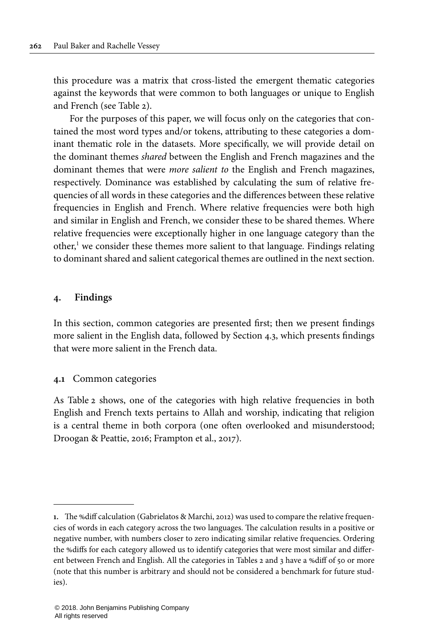this procedure was a matrix that cross-listed the emergent thematic categories against the keywords that were common to both languages or unique to English and French (see [Table](#page-11-0) 2).

For the purposes of this paper, we will focus only on the categories that contained the most word types and/or tokens, attributing to these categories a dominant thematic role in the datasets. More specifically, we will provide detail on the dominant themes shared between the English and French magazines and the dominant themes that were more salient to the English and French magazines, respectively. Dominance was established by calculating the sum of relative frequencies of all words in these categories and the differences between these relative frequencies in English and French. Where relative frequencies were both high and similar in English and French, we consider these to be shared themes. Where relative frequencies were exceptionally higher in one language category than the other, <sup>1</sup> we consider these themes more salient to that language. Findings relating to dominant shared and salient categorical themes are outlined in the next section.

## **4. Findings**

In this section, common categories are presented first; then we present findings more salient in the English data, followed by [Section](#page-17-0) 4.3, which presents findings that were more salient in the French data.

## **4.1** Common categories

As [Table](#page-11-0) 2 shows, one of the categories with high relative frequencies in both English and French texts pertains to Allah and worship, indicating that religion is a central theme in both corpora (one often overlooked and misunderstood; [Droogan & Peattie, 2016](#page-22-4); [Frampton et](#page-22-0) al., 2017).

**<sup>1.</sup>** The %diff calculation [\(Gabrielatos](#page-22-13) & Marchi, 2012) was used to compare the relative frequencies of words in each category across the two languages. The calculation results in a positive or negative number, with numbers closer to zero indicating similar relative frequencies. Ordering the %diffs for each category allowed us to identify categories that were most similar and different between French and English. All the categories in [Tables](#page-11-0) 2 and [3](#page-14-0) have a %diff of 50 or more (note that this number is arbitrary and should not be considered a benchmark for future studies).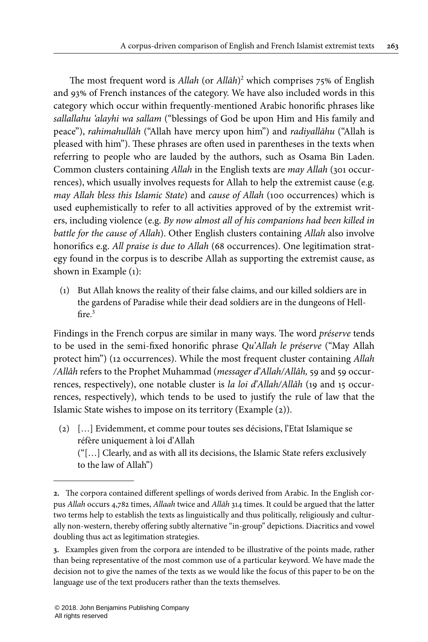The most frequent word is Allah (or Allāh) <sup>2</sup> which comprises 75% of English and 93% of French instances of the category. We have also included words in this category which occur within frequently-mentioned Arabic honorific phrases like sallallahu 'alayhi wa sallam ("blessings of God be upon Him and His family and peace"), rahimahullāh ("Allah have mercy upon him") and radiyallāhu ("Allah is pleased with him"). These phrases are often used in parentheses in the texts when referring to people who are lauded by the authors, such as Osama Bin Laden. Common clusters containing Allah in the English texts are *may Allah* (301 occurrences), which usually involves requests for Allah to help the extremist cause (e.g. may Allah bless this Islamic State) and cause of Allah (100 occurrences) which is used euphemistically to refer to all activities approved of by the extremist writers, including violence (e.g. By now almost all of his companions had been killed in battle for the cause of Allah). Other English clusters containing Allah also involve honorifics e.g. All praise is due to Allah (68 occurrences). One legitimation strategy found in the corpus is to describe Allah as supporting the extremist cause, as shown in Example ([1\)](#page-9-0):

<span id="page-9-0"></span>(1) But Allah knows the reality of their false claims, and our killed soldiers are in the gardens of Paradise while their dead soldiers are in the dungeons of Hellfire. 3

Findings in the French corpus are similar in many ways. The word préserve tends to be used in the semi-fixed honorific phrase Qu'Allah le préserve ("May Allah protect him") (12 occurrences). While the most frequent cluster containing Allah /Allâh refers to the Prophet Muhammad (messager d'Allah/Allâh, 59 and 59 occurrences, respectively), one notable cluster is la loi d'Allah/Allâh (19 and 15 occurrences, respectively), which tends to be used to justify the rule of law that the Islamic State wishes to impose on its territory (Example [\(2\)](#page-9-1)).

<span id="page-9-1"></span>(2) […] Evidemment, et comme pour toutes ses décisions, l'Etat Islamique se réfère uniquement à loi d'Allah

("[…] Clearly, and as with all its decisions, the Islamic State refers exclusively to the law of Allah")

**<sup>2.</sup>** The corpora contained different spellings of words derived from Arabic. In the English corpus Allah occurs 4,782 times, Allaah twice and Allāh 314 times. It could be argued that the latter two terms help to establish the texts as linguistically and thus politically, religiously and culturally non-western, thereby offering subtly alternative "in-group" depictions. Diacritics and vowel doubling thus act as legitimation strategies.

**<sup>3.</sup>** Examples given from the corpora are intended to be illustrative of the points made, rather than being representative of the most common use of a particular keyword. We have made the decision not to give the names of the texts as we would like the focus of this paper to be on the language use of the text producers rather than the texts themselves.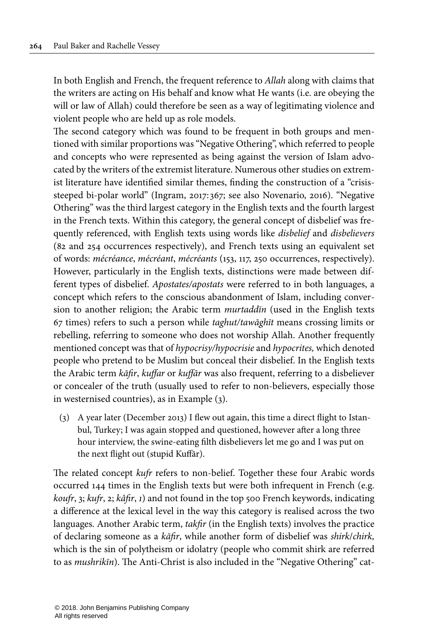In both English and French, the frequent reference to Allah along with claims that the writers are acting on His behalf and know what He wants (i.e. are obeying the will or law of Allah) could therefore be seen as a way of legitimating violence and violent people who are held up as role models.

The second category which was found to be frequent in both groups and mentioned with similar proportions was"Negative Othering", which referred to people and concepts who were represented as being against the version of Islam advocated by the writers of the extremist literature. Numerous other studies on extremist literature have identified similar themes, finding the construction of a "crisissteeped bi-polar world" ([Ingram,](#page-22-1) 2017: 367; see also [Novenario,](#page-23-1) 2016). "Negative Othering" was the third largest category in the English texts and the fourth largest in the French texts. Within this category, the general concept of disbelief was frequently referenced, with English texts using words like *disbelief* and *disbelievers* (82 and 254 occurrences respectively), and French texts using an equivalent set of words: mécréance, mécréant, mécréants (153, 117, 250 occurrences, respectively). However, particularly in the English texts, distinctions were made between different types of disbelief. Apostates/apostats were referred to in both languages, a concept which refers to the conscious abandonment of Islam, including conversion to another religion; the Arabic term murtaddīn (used in the English texts 67 times) refers to such a person while taghut/tawāghīt means crossing limits or rebelling, referring to someone who does not worship Allah. Another frequently mentioned concept was that of hypocrisy/hypocrisie and hypocrites, which denoted people who pretend to be Muslim but conceal their disbelief. In the English texts the Arabic term kāfir, kuffar or kuffār was also frequent, referring to a disbeliever or concealer of the truth (usually used to refer to non-believers, especially those in westernised countries), as in Example [\(3](#page-10-0)).

<span id="page-10-0"></span>(3) A year later (December 2013) I flew out again, this time a direct flight to Istanbul, Turkey; I was again stopped and questioned, however after a long three hour interview, the swine-eating filth disbelievers let me go and I was put on the next flight out (stupid Kuffār).

The related concept kufr refers to non-belief. Together these four Arabic words occurred 144 times in the English texts but were both infrequent in French (e.g. koufr, 3; kufr, 2; kâfir, 1) and not found in the top 500 French keywords, indicating a difference at the lexical level in the way this category is realised across the two languages. Another Arabic term, takfir (in the English texts) involves the practice of declaring someone as a kāfir, while another form of disbelief was shirk/chirk, which is the sin of polytheism or idolatry (people who commit shirk are referred to as mushrikīn). The Anti-Christ is also included in the "Negative Othering" cat-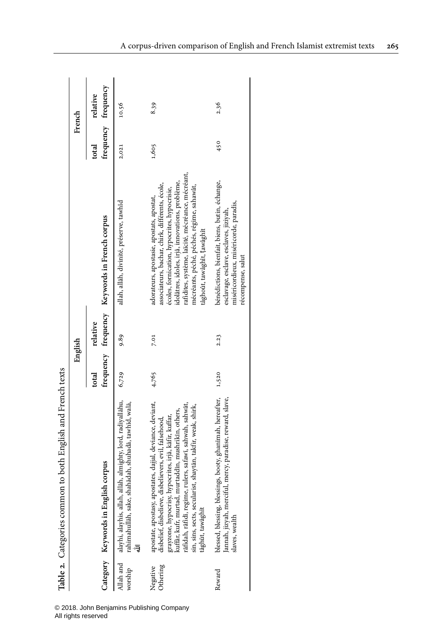<span id="page-11-0"></span>

|                      | Table 2. Categories common to both English and French texts                                                                                                                                                                                                                                                                                                                       |         |          |                                                                                                                                                                                                                                                                                                                                   |                     |          |
|----------------------|-----------------------------------------------------------------------------------------------------------------------------------------------------------------------------------------------------------------------------------------------------------------------------------------------------------------------------------------------------------------------------------|---------|----------|-----------------------------------------------------------------------------------------------------------------------------------------------------------------------------------------------------------------------------------------------------------------------------------------------------------------------------------|---------------------|----------|
|                      |                                                                                                                                                                                                                                                                                                                                                                                   | English |          |                                                                                                                                                                                                                                                                                                                                   | French              |          |
|                      |                                                                                                                                                                                                                                                                                                                                                                                   | total   | relative |                                                                                                                                                                                                                                                                                                                                   | total               | relative |
|                      | Category Keywords in English corpus                                                                                                                                                                                                                                                                                                                                               |         |          | frequency frequency Keywords in French corpus                                                                                                                                                                                                                                                                                     | frequency frequency |          |
| Allah and<br>worship | alayhi, alayhis, allah, allāh, almighty, lord, radiyallāhu,<br>shahādah, shuhadā, tawhīd, walā,<br>rahimahullāh, sake,                                                                                                                                                                                                                                                            | 6,729   | 9.89     | allah, allāh, divinité, préserve, tawhîd                                                                                                                                                                                                                                                                                          | 2,021               | 10.56    |
| Othering<br>Negative | apostate, apostasy, apostates, dajjal, deviance, deviant,<br>disbelief, disbelieve, disbelievers, evil, falsehood,<br>rāfidah, rāfidī, regime, rulers, safawī, sahwah, sahwāt,<br>sin, sins, sects, secularist, shaytān, takfir, weak, shirk,<br>kuffar, kufr, murtad, murtaddin, mushrikin, others,<br>grayzone, hypocrisy, hypocrites, irjā, kāfir, kuffar,<br>tāghūt, tawāghīt | 4,765   | 7.01     | rafidites, système, laïcité, mécréance, mécréant,<br>idolâtres, idoles, irjâ, innovations, problème,<br>associateurs, bachar, chirk, différents, école,<br>mécréants, péché, péchés, régime, sahawât,<br>écoles, fornication, hypocrites, hypocrisie,<br>adorateurs, apostasie, apostats, apostat,<br>tâghoût, tawâghît, tawâghît | 1,605               | 8.39     |
| Reward               | blessed, blessing, blessings, booty, ghanimah, hereafter,<br>Jannah, jizyah, merciful, mercy, paradise, reward, slave,<br>slaves, wealth                                                                                                                                                                                                                                          | 1,520   | 2.23     | bénédictions, bienfait, biens, butin, échange,<br>miséricordieux, miséricorde, paradis,<br>esclavage, esclave, esclaves, jiziyah,<br>récompense, salut                                                                                                                                                                            | 450                 | 2.36     |

© 2018. John Benjamins Publishing Company

All rights reserved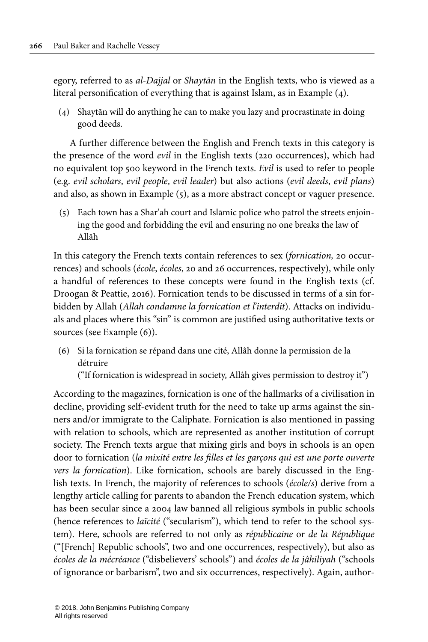egory, referred to as al-Dajjal or Shaytān in the English texts, who is viewed as a literal personification of everything that is against Islam, as in Example [\(4\)](#page-12-0).

<span id="page-12-0"></span>(4) Shaytān will do anything he can to make you lazy and procrastinate in doing good deeds.

A further difference between the English and French texts in this category is the presence of the word evil in the English texts (220 occurrences), which had no equivalent top 500 keyword in the French texts. Evil is used to refer to people (e.g. evil scholars, evil people, evil leader) but also actions (evil deeds, evil plans) and also, as shown in Example [\(5](#page-12-1)), as a more abstract concept or vaguer presence.

<span id="page-12-1"></span>(5) Each town has a Shar'ah court and Islāmic police who patrol the streets enjoining the good and forbidding the evil and ensuring no one breaks the law of Allāh

In this category the French texts contain references to sex (fornication, 20 occurrences) and schools (école, écoles, 20 and 26 occurrences, respectively), while only a handful of references to these concepts were found in the English texts (cf. [Droogan](#page-22-4) & Peattie, 2016). Fornication tends to be discussed in terms of a sin forbidden by Allah (Allah condamne la fornication et l'interdit). Attacks on individuals and places where this "sin" is common are justified using authoritative texts or sources (see Example ([6\)](#page-12-2)).

<span id="page-12-2"></span>(6) Si la fornication se répand dans une cité, Allâh donne la permission de la détruire

("If fornication is widespread in society, Allâh gives permission to destroy it")

According to the magazines, fornication is one of the hallmarks of a civilisation in decline, providing self-evident truth for the need to take up arms against the sinners and/or immigrate to the Caliphate. Fornication is also mentioned in passing with relation to schools, which are represented as another institution of corrupt society. The French texts argue that mixing girls and boys in schools is an open door to fornication (la mixité entre les filles et les garçons qui est une porte ouverte vers la fornication). Like fornication, schools are barely discussed in the English texts. In French, the majority of references to schools (école/s) derive from a lengthy article calling for parents to abandon the French education system, which has been secular since a 2004 law banned all religious symbols in public schools (hence references to laïcité ("secularism"), which tend to refer to the school system). Here, schools are referred to not only as républicaine or de la République ("[French] Republic schools", two and one occurrences, respectively), but also as écoles de la mécréance ("disbelievers' schools") and écoles de la jâhiliyah ("schools of ignorance or barbarism", two and six occurrences, respectively). Again, author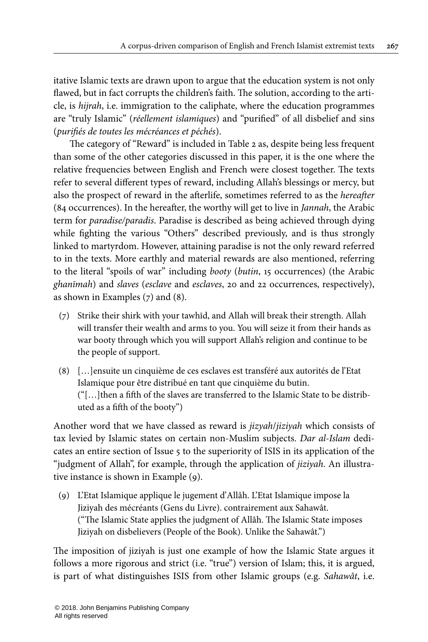itative Islamic texts are drawn upon to argue that the education system is not only flawed, but in fact corrupts the children's faith. The solution, according to the article, is hijrah, i.e. immigration to the caliphate, where the education programmes are "truly Islamic" (réellement islamiques) and "purified" of all disbelief and sins (purifiés de toutes les mécréances et péchés).

The category of "Reward" is included in [Table](#page-11-0) 2 as, despite being less frequent than some of the other categories discussed in this paper, it is the one where the relative frequencies between English and French were closest together. The texts refer to several different types of reward, including Allah's blessings or mercy, but also the prospect of reward in the afterlife, sometimes referred to as the hereafter (84 occurrences). In the hereafter, the worthy will get to live in Jannah, the Arabic term for *paradise/paradis*. Paradise is described as being achieved through dying while fighting the various "Others" described previously, and is thus strongly linked to martyrdom. However, attaining paradise is not the only reward referred to in the texts. More earthly and material rewards are also mentioned, referring to the literal "spoils of war" including booty (butin, 15 occurrences) (the Arabic ghanīmah) and slaves (esclave and esclaves, 20 and 22 occurrences, respectively), as shown in Examples ([7](#page-13-0)) and [\(8\)](#page-13-1).

- <span id="page-13-0"></span>(7) Strike their shirk with your tawhīd, and Allah will break their strength. Allah will transfer their wealth and arms to you. You will seize it from their hands as war booty through which you will support Allah's religion and continue to be the people of support.
- <span id="page-13-1"></span>(8) […]ensuite un cinquième de ces esclaves est transféré aux autorités de l'Etat Islamique pour être distribué en tant que cinquième du butin. ("[…]then a fifth of the slaves are transferred to the Islamic State to be distributed as a fifth of the booty")

Another word that we have classed as reward is jizyah/jiziyah which consists of tax levied by Islamic states on certain non-Muslim subjects. Dar al-Islam dedicates an entire section of Issue 5 to the superiority of ISIS in its application of the "judgment of Allah", for example, through the application of *jiziyah*. An illustrative instance is shown in Example ([9\)](#page-13-2).

<span id="page-13-2"></span>(9) L'Etat Islamique applique le jugement d'Allâh. L'Etat Islamique impose la Jiziyah des mécréants (Gens du Livre). contrairement aux Sahawât. ("The Islamic State applies the judgment of Allâh. The Islamic State imposes Jiziyah on disbelievers (People of the Book). Unlike the Sahawât.")

The imposition of jiziyah is just one example of how the Islamic State argues it follows a more rigorous and strict (i.e. "true") version of Islam; this, it is argued, is part of what distinguishes ISIS from other Islamic groups (e.g. Sahawât, i.e.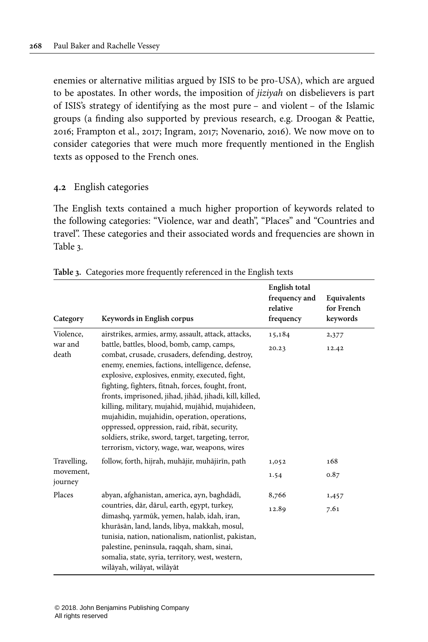enemies or alternative militias argued by ISIS to be pro-USA), which are argued to be apostates. In other words, the imposition of jiziyah on disbelievers is part of ISIS's strategy of identifying as the most pure – and violent – of the Islamic groups (a finding also supported by previous research, e.g. [Droogan](#page-22-4) & Peattie, [2016;](#page-22-4) [Frampton](#page-22-0) et al., 2017; [Ingram,](#page-22-1) 2017; [Novenario,](#page-23-1) 2016). We now move on to consider categories that were much more frequently mentioned in the English texts as opposed to the French ones.

#### **4.2** English categories

The English texts contained a much higher proportion of keywords related to the following categories: "Violence, war and death", "Places" and "Countries and travel". These categories and their associated words and frequencies are shown in [Table](#page-14-0) 3.

| Category                            | Keywords in English corpus                                                                                                                                                                                                                                                                                                                                                                                                                                                                                                                                                                                                                | English total<br>frequency and<br>relative<br>frequency | Equivalents<br>for French<br>keywords |
|-------------------------------------|-------------------------------------------------------------------------------------------------------------------------------------------------------------------------------------------------------------------------------------------------------------------------------------------------------------------------------------------------------------------------------------------------------------------------------------------------------------------------------------------------------------------------------------------------------------------------------------------------------------------------------------------|---------------------------------------------------------|---------------------------------------|
| Violence,<br>war and<br>death       | airstrikes, armies, army, assault, attack, attacks,<br>battle, battles, blood, bomb, camp, camps,<br>combat, crusade, crusaders, defending, destroy,<br>enemy, enemies, factions, intelligence, defense,<br>explosive, explosives, enmity, executed, fight,<br>fighting, fighters, fitnah, forces, fought, front,<br>fronts, imprisoned, jihad, jihãd, jihadi, kill, killed,<br>killing, military, mujahid, mujāhid, mujahideen,<br>mujahidin, mujahidin, operation, operations,<br>oppressed, oppression, raid, ribāt, security,<br>soldiers, strike, sword, target, targeting, terror,<br>terrorism, victory, wage, war, weapons, wires | 15,184<br>20.23                                         | 2,377<br>12.42                        |
| Travelling,<br>movement,<br>journey | follow, forth, hijrah, muhājir, muhājirīn, path                                                                                                                                                                                                                                                                                                                                                                                                                                                                                                                                                                                           | 1,052<br>1.54                                           | 168<br>0.87                           |
| Places                              | abyan, afghanistan, america, ayn, baghdādī,<br>countries, dār, dārul, earth, egypt, turkey,<br>dimashq, yarmūk, yemen, halab, idah, iran,<br>khurāsān, land, lands, libya, makkah, mosul,<br>tunisia, nation, nationalism, nationlist, pakistan,<br>palestine, peninsula, raqqah, sham, sinai,<br>somalia, state, syria, territory, west, western,<br>wilāyah, wilāyat, wilāyāt                                                                                                                                                                                                                                                           | 8,766<br>12.89                                          | 1,457<br>7.61                         |

<span id="page-14-0"></span>**Table 3.** Categories more frequently referenced in the English texts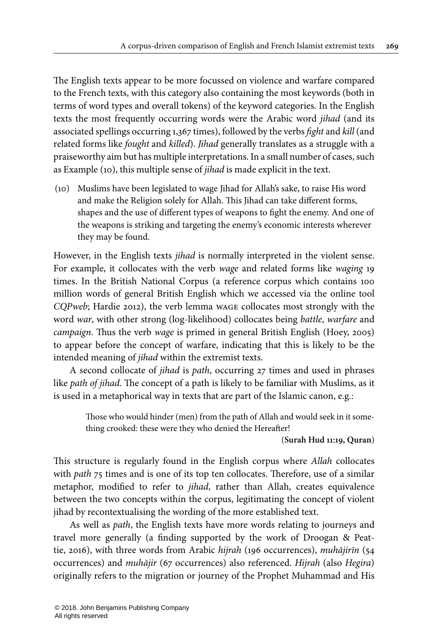The English texts appear to be more focussed on violence and warfare compared to the French texts, with this category also containing the most keywords (both in terms of word types and overall tokens) of the keyword categories. In the English texts the most frequently occurring words were the Arabic word jihad (and its associated spellings occurring 1,367 times), followed by the verbs fight and kill (and related forms like fought and killed). Jihad generally translates as a struggle with a praiseworthy aim but has multiple interpretations. In a small number of cases, such as Example ([10\)](#page-15-0), this multiple sense of jihad is made explicit in the text.

<span id="page-15-0"></span>(10) Muslims have been legislated to wage Jihad for Allah's sake, to raise His word and make the Religion solely for Allah. This Jihad can take different forms, shapes and the use of different types of weapons to fight the enemy. And one of the weapons is striking and targeting the enemy's economic interests wherever they may be found.

However, in the English texts *jihad* is normally interpreted in the violent sense. For example, it collocates with the verb wage and related forms like waging 19 times. In the British National Corpus (a reference corpus which contains 100 million words of general British English which we accessed via the online tool CQPweb; Hardie 2012), the verb lemma wage collocates most strongly with the word war, with other strong (log-likelihood) collocates being battle, warfare and campaign. Thus the verb wage is primed in general British English ([Hoey,](#page-22-14) 2005) to appear before the concept of warfare, indicating that this is likely to be the intended meaning of jihad within the extremist texts.

A second collocate of jihad is path, occurring 27 times and used in phrases like path of jihad. The concept of a path is likely to be familiar with Muslims, as it is used in a metaphorical way in texts that are part of the Islamic canon, e.g.:

> Those who would hinder (men) from the path of Allah and would seek in it something crooked: these were they who denied the Hereafter!

#### (**Surah Hud 11:19, Quran**)

This structure is regularly found in the English corpus where Allah collocates with *path* 75 times and is one of its top ten collocates. Therefore, use of a similar metaphor, modified to refer to *jihad*, rather than Allah, creates equivalence between the two concepts within the corpus, legitimating the concept of violent jihad by recontextualising the wording of the more established text.

As well as path, the English texts have more words relating to journeys and travel more generally (a finding supported by the work of [Droogan](#page-22-4) & Peattie, [2016\)](#page-22-4), with three words from Arabic hijrah (196 occurrences), muhājirīn (54 occurrences) and muhājir (67 occurrences) also referenced. Hijrah (also Hegira) originally refers to the migration or journey of the Prophet Muhammad and His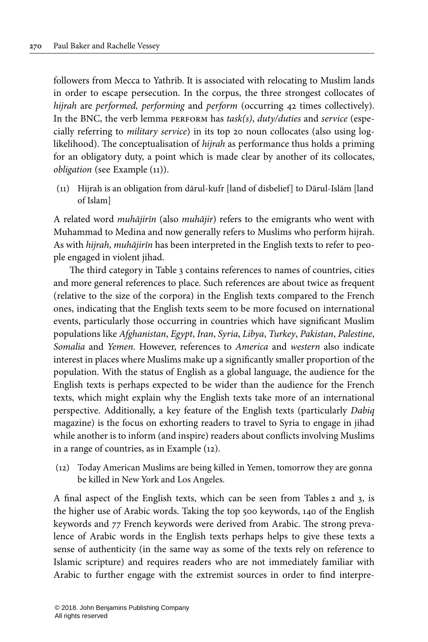followers from Mecca to Yathrib. It is associated with relocating to Muslim lands in order to escape persecution. In the corpus, the three strongest collocates of hijrah are performed, performing and perform (occurring 42 times collectively). In the BNC, the verb lemma PERFORM has  $task(s)$ ,  $duty/duties$  and service (especially referring to military service) in its top 20 noun collocates (also using loglikelihood). The conceptualisation of hijrah as performance thus holds a priming for an obligatory duty, a point which is made clear by another of its collocates, obligation (see Example [\(11](#page-16-0))).

<span id="page-16-0"></span>(11) Hijrah is an obligation from dārul-kufr [land of disbelief] to Dārul-Islām [land of Islam]

A related word muhājirīn (also muhājir) refers to the emigrants who went with Muhammad to Medina and now generally refers to Muslims who perform hijrah. As with hijrah, muhājirīn has been interpreted in the English texts to refer to people engaged in violent jihad.

The third category in [Table](#page-14-0) 3 contains references to names of countries, cities and more general references to place. Such references are about twice as frequent (relative to the size of the corpora) in the English texts compared to the French ones, indicating that the English texts seem to be more focused on international events, particularly those occurring in countries which have significant Muslim populations like Afghanistan, Egypt, Iran, Syria, Libya, Turkey, Pakistan, Palestine, Somalia and Yemen. However, references to America and western also indicate interest in places where Muslims make up a significantly smaller proportion of the population. With the status of English as a global language, the audience for the English texts is perhaps expected to be wider than the audience for the French texts, which might explain why the English texts take more of an international perspective. Additionally, a key feature of the English texts (particularly Dabiq magazine) is the focus on exhorting readers to travel to Syria to engage in jihad while another is to inform (and inspire) readers about conflicts involving Muslims in a range of countries, as in Example [\(12](#page-16-1)).

<span id="page-16-1"></span>(12) Today American Muslims are being killed in Yemen, tomorrow they are gonna be killed in New York and Los Angeles.

A final aspect of the English texts, which can be seen from [Tables](#page-11-0) 2 and [3,](#page-14-0) is the higher use of Arabic words. Taking the top 500 keywords, 140 of the English keywords and 77 French keywords were derived from Arabic. The strong prevalence of Arabic words in the English texts perhaps helps to give these texts a sense of authenticity (in the same way as some of the texts rely on reference to Islamic scripture) and requires readers who are not immediately familiar with Arabic to further engage with the extremist sources in order to find interpre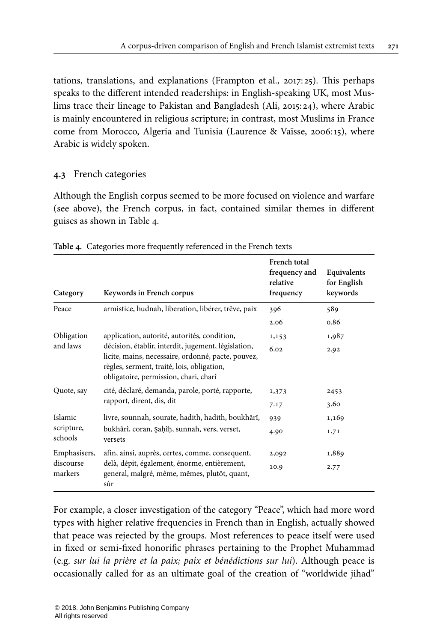tations, translations, and explanations [\(Frampton](#page-22-0) et al., 2017: 25). This perhaps speaks to the different intended readerships: in English-speaking UK, most Muslims trace their lineage to Pakistan and Bangladesh (Ali, [2015](#page-22-15): 24), where Arabic is mainly encountered in religious scripture; in contrast, most Muslims in France come from Morocco, Algeria and Tunisia ([Laurence](#page-22-16) & Vaïsse, 2006:15), where Arabic is widely spoken.

# <span id="page-17-0"></span>**4.3** French categories

Although the English corpus seemed to be more focused on violence and warfare (see above), the French corpus, in fact, contained similar themes in different guises as shown in [Table](#page-17-1) 4.

| Category               | Keywords in French corpus                                                                                                                                                                                                                        | French total<br>frequency and<br>relative<br>frequency | Equivalents<br>for English<br>keywords |
|------------------------|--------------------------------------------------------------------------------------------------------------------------------------------------------------------------------------------------------------------------------------------------|--------------------------------------------------------|----------------------------------------|
| Peace                  | armistice, hudnah, liberation, libérer, trêve, paix                                                                                                                                                                                              | 396                                                    | 589                                    |
|                        |                                                                                                                                                                                                                                                  | 2.06                                                   | 0.86                                   |
| Obligation<br>and laws | application, autorité, autorités, condition,<br>décision, établir, interdit, jugement, législation,<br>licite, mains, necessaire, ordonné, pacte, pouvez,<br>règles, serment, traité, lois, obligation,<br>obligatoire, permission, chari, charî | 1,153                                                  | 1,987                                  |
|                        |                                                                                                                                                                                                                                                  | 6.02                                                   | 2.92                                   |
| Quote, say             | cité, déclaré, demanda, parole, porté, rapporte,<br>rapport, dirent, dis, dit                                                                                                                                                                    | 1,373                                                  | 2453                                   |
|                        |                                                                                                                                                                                                                                                  | 7.17                                                   | 3.60                                   |
| Islamic                | livre, sounnah, sourate, hadith, hadith, boukhârî,                                                                                                                                                                                               | 939                                                    | 1,169                                  |
| scripture,<br>schools  | bukhârî, coran, Şaḥîḥ, sunnah, vers, verset,<br>versets                                                                                                                                                                                          | 4.90                                                   | 1.71                                   |
| Emphasisers,           | afin, ainsi, auprès, certes, comme, consequent,                                                                                                                                                                                                  | 2,092                                                  | 1,889                                  |
| discourse<br>markers   | delà, dépit, également, énorme, entièrement,<br>general, malgré, même, mêmes, plutôt, quant,<br>sûr                                                                                                                                              | 10.9                                                   | 2.77                                   |

<span id="page-17-1"></span>**Table 4.** Categories more frequently referenced in the French texts

For example, a closer investigation of the category "Peace", which had more word types with higher relative frequencies in French than in English, actually showed that peace was rejected by the groups. Most references to peace itself were used in fixed or semi-fixed honorific phrases pertaining to the Prophet Muhammad (e.g. sur lui la prière et la paix; paix et bénédictions sur lui). Although peace is occasionally called for as an ultimate goal of the creation of "worldwide jihad"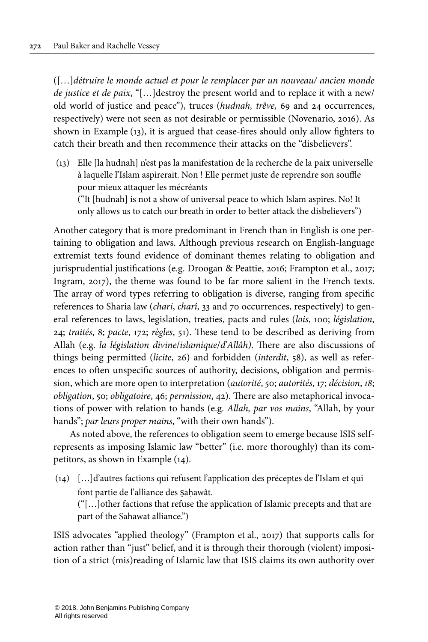([…]détruire le monde actuel et pour le remplacer par un nouveau/ ancien monde de justice et de paix, "[…]destroy the present world and to replace it with a new/ old world of justice and peace"), truces (hudnah, trêve, 69 and 24 occurrences, respectively) were not seen as not desirable or permissible ([Novenario,](#page-23-1) 2016). As shown in Example ([13](#page-18-0)), it is argued that cease-fires should only allow fighters to catch their breath and then recommence their attacks on the "disbelievers".

<span id="page-18-0"></span>(13) Elle [la hudnah] n'est pas la manifestation de la recherche de la paix universelle à laquelle l'Islam aspirerait. Non ! Elle permet juste de reprendre son souffle pour mieux attaquer les mécréants ("It [hudnah] is not a show of universal peace to which Islam aspires. No! It only allows us to catch our breath in order to better attack the disbelievers")

Another category that is more predominant in French than in English is one pertaining to obligation and laws. Although previous research on English-language extremist texts found evidence of dominant themes relating to obligation and jurisprudential justifications (e.g. [Droogan](#page-22-4) & Peattie, 2016; [Frampton](#page-22-0) et al., 2017; [Ingram,](#page-22-1) 2017), the theme was found to be far more salient in the French texts. The array of word types referring to obligation is diverse, ranging from specific references to Sharia law (chari, charî, 33 and 70 occurrences, respectively) to general references to laws, legislation, treaties, pacts and rules (lois, 100; législation, 24; traités, 8; pacte, 172; règles, 51). These tend to be described as deriving from Allah (e.g. la législation divine/islamique/d'Allâh). There are also discussions of things being permitted (licite, 26) and forbidden (interdit, 58), as well as references to often unspecific sources of authority, decisions, obligation and permission, which are more open to interpretation (autorité, 50; autorités, 17; décision, 18; obligation, 50; obligatoire, 46; permission, 42). There are also metaphorical invocations of power with relation to hands (e.g. Allah, par vos mains, "Allah, by your hands"; par leurs proper mains, "with their own hands").

As noted above, the references to obligation seem to emerge because ISIS selfrepresents as imposing Islamic law "better" (i.e. more thoroughly) than its competitors, as shown in Example ([14](#page-18-1)).

<span id="page-18-1"></span>(14) […]d'autres factions qui refusent l'application des préceptes de l'Islam et qui font partie de l'alliance des ṣaḥawât. ("[…]other factions that refuse the application of Islamic precepts and that are part of the Sahawat alliance.")

ISIS advocates "applied theology" ([Frampton](#page-22-0) et al., 2017) that supports calls for action rather than "just" belief, and it is through their thorough (violent) imposition of a strict (mis)reading of Islamic law that ISIS claims its own authority over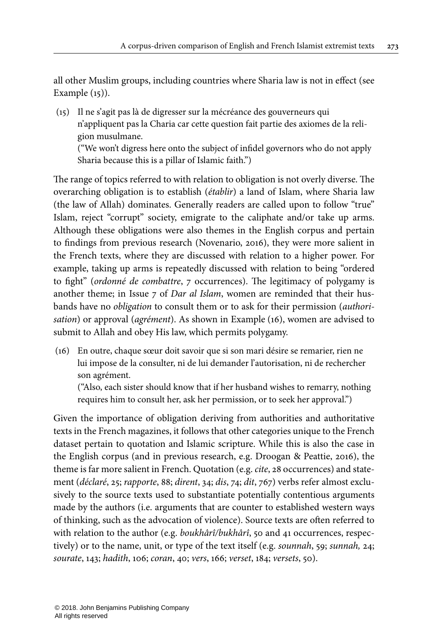all other Muslim groups, including countries where Sharia law is not in effect (see Example [\(15\)](#page-19-0)).

<span id="page-19-0"></span>(15) Il ne s'agit pas là de digresser sur la mécréance des gouverneurs qui n'appliquent pas la Charia car cette question fait partie des axiomes de la religion musulmane. ("We won't digress here onto the subject of infidel governors who do not apply Sharia because this is a pillar of Islamic faith.")

The range of topics referred to with relation to obligation is not overly diverse. The overarching obligation is to establish (établir) a land of Islam, where Sharia law (the law of Allah) dominates. Generally readers are called upon to follow "true" Islam, reject "corrupt" society, emigrate to the caliphate and/or take up arms. Although these obligations were also themes in the English corpus and pertain to findings from previous research ([Novenario,](#page-23-1) 2016), they were more salient in the French texts, where they are discussed with relation to a higher power. For example, taking up arms is repeatedly discussed with relation to being "ordered to fight" (ordonné de combattre, 7 occurrences). The legitimacy of polygamy is another theme; in Issue 7 of Dar al Islam, women are reminded that their husbands have no obligation to consult them or to ask for their permission (authori-sation) or approval (agrément). As shown in Example [\(16\)](#page-19-1), women are advised to submit to Allah and obey His law, which permits polygamy.

<span id="page-19-1"></span>(16) En outre, chaque sœur doit savoir que si son mari désire se remarier, rien ne lui impose de la consulter, ni de lui demander l'autorisation, ni de rechercher son agrément.

("Also, each sister should know that if her husband wishes to remarry, nothing requires him to consult her, ask her permission, or to seek her approval.")

Given the importance of obligation deriving from authorities and authoritative texts in the French magazines, it follows that other categories unique to the French dataset pertain to quotation and Islamic scripture. While this is also the case in the English corpus (and in previous research, e.g. [Droogan](#page-22-4) & Peattie, 2016), the theme is far more salient in French. Quotation (e.g. cite, 28 occurrences) and statement (déclaré, 25; rapporte, 88; dirent, 34; dis, 74; dit, 767) verbs refer almost exclusively to the source texts used to substantiate potentially contentious arguments made by the authors (i.e. arguments that are counter to established western ways of thinking, such as the advocation of violence). Source texts are often referred to with relation to the author (e.g. boukhârî/bukhârî, 50 and 41 occurrences, respectively) or to the name, unit, or type of the text itself (e.g. sounnah, 59; sunnah, 24; sourate, 143; hadith, 106; coran, 40; vers, 166; verset, 184; versets, 50).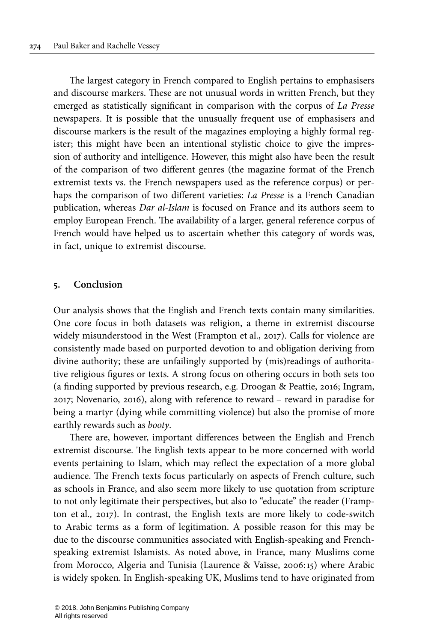The largest category in French compared to English pertains to emphasisers and discourse markers. These are not unusual words in written French, but they emerged as statistically significant in comparison with the corpus of La Presse newspapers. It is possible that the unusually frequent use of emphasisers and discourse markers is the result of the magazines employing a highly formal register; this might have been an intentional stylistic choice to give the impression of authority and intelligence. However, this might also have been the result of the comparison of two different genres (the magazine format of the French extremist texts vs. the French newspapers used as the reference corpus) or perhaps the comparison of two different varieties: La Presse is a French Canadian publication, whereas Dar al-Islam is focused on France and its authors seem to employ European French. The availability of a larger, general reference corpus of French would have helped us to ascertain whether this category of words was, in fact, unique to extremist discourse.

#### <span id="page-20-0"></span>**5. Conclusion**

Our analysis shows that the English and French texts contain many similarities. One core focus in both datasets was religion, a theme in extremist discourse widely misunderstood in the West [\(Frampton](#page-22-0) et al., 2017). Calls for violence are consistently made based on purported devotion to and obligation deriving from divine authority; these are unfailingly supported by (mis)readings of authoritative religious figures or texts. A strong focus on othering occurs in both sets too (a finding supported by previous research, e.g. [Droogan](#page-22-4) & Peattie, 2016; [Ingram,](#page-22-1) [2017](#page-22-1); [Novenario,](#page-23-1) 2016), along with reference to reward – reward in paradise for being a martyr (dying while committing violence) but also the promise of more earthly rewards such as booty.

There are, however, important differences between the English and French extremist discourse. The English texts appear to be more concerned with world events pertaining to Islam, which may reflect the expectation of a more global audience. The French texts focus particularly on aspects of French culture, such as schools in France, and also seem more likely to use quotation from scripture to not only legitimate their perspectives, but also to "educate" the reader [\(Framp](#page-22-0)ton et al., [2017](#page-22-0)). In contrast, the English texts are more likely to code-switch to Arabic terms as a form of legitimation. A possible reason for this may be due to the discourse communities associated with English-speaking and Frenchspeaking extremist Islamists. As noted above, in France, many Muslims come from Morocco, Algeria and Tunisia ([Laurence](#page-22-16) & Vaïsse, 2006:15) where Arabic is widely spoken. In English-speaking UK, Muslims tend to have originated from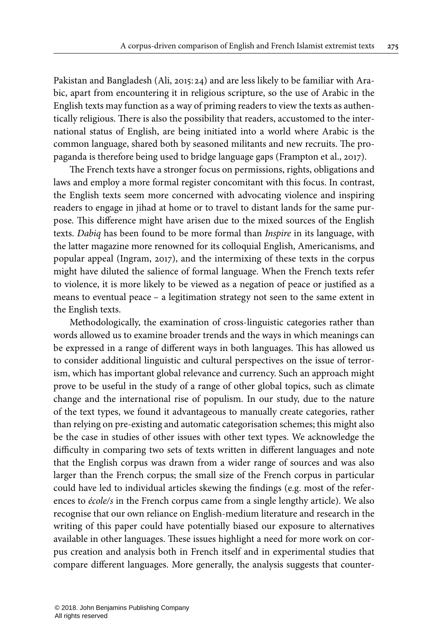Pakistan and Bangladesh (Ali, [2015:](#page-22-15) 24) and are less likely to be familiar with Arabic, apart from encountering it in religious scripture, so the use of Arabic in the English texts may function as a way of priming readers to view the texts as authentically religious. There is also the possibility that readers, accustomed to the international status of English, are being initiated into a world where Arabic is the common language, shared both by seasoned militants and new recruits. The propaganda is therefore being used to bridge language gaps ([Frampton et](#page-22-0) al., 2017).

The French texts have a stronger focus on permissions, rights, obligations and laws and employ a more formal register concomitant with this focus. In contrast, the English texts seem more concerned with advocating violence and inspiring readers to engage in jihad at home or to travel to distant lands for the same purpose. This difference might have arisen due to the mixed sources of the English texts. Dabiq has been found to be more formal than *Inspire* in its language, with the latter magazine more renowned for its colloquial English, Americanisms, and popular appeal [\(Ingram,](#page-22-1) 2017), and the intermixing of these texts in the corpus might have diluted the salience of formal language. When the French texts refer to violence, it is more likely to be viewed as a negation of peace or justified as a means to eventual peace – a legitimation strategy not seen to the same extent in the English texts.

Methodologically, the examination of cross-linguistic categories rather than words allowed us to examine broader trends and the ways in which meanings can be expressed in a range of different ways in both languages. This has allowed us to consider additional linguistic and cultural perspectives on the issue of terrorism, which has important global relevance and currency. Such an approach might prove to be useful in the study of a range of other global topics, such as climate change and the international rise of populism. In our study, due to the nature of the text types, we found it advantageous to manually create categories, rather than relying on pre-existing and automatic categorisation schemes; this might also be the case in studies of other issues with other text types. We acknowledge the difficulty in comparing two sets of texts written in different languages and note that the English corpus was drawn from a wider range of sources and was also larger than the French corpus; the small size of the French corpus in particular could have led to individual articles skewing the findings (e.g. most of the references to école/s in the French corpus came from a single lengthy article). We also recognise that our own reliance on English-medium literature and research in the writing of this paper could have potentially biased our exposure to alternatives available in other languages. These issues highlight a need for more work on corpus creation and analysis both in French itself and in experimental studies that compare different languages. More generally, the analysis suggests that counter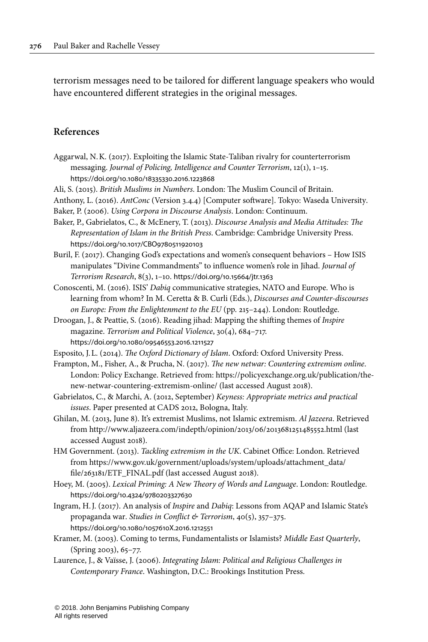terrorism messages need to be tailored for different language speakers who would have encountered different strategies in the original messages.

# **References**

- <span id="page-22-2"></span>Aggarwal, N.K. (2017). Exploiting the Islamic State-Taliban rivalry for counterterrorism messaging. Journal of Policing, Intelligence and Counter Terrorism, 12(1), 1–15. [https://doi.org/10.1080/18335330.2016.1223868](https://doi.org/10.1080%2F18335330.2016.1223868)
- <span id="page-22-15"></span>Ali, S. (2015). British Muslims in Numbers. London: The Muslim Council of Britain.

<span id="page-22-11"></span>Anthony, L. (2016). AntConc (Version 3.4.4) [Computer software]. Tokyo: Waseda University. Baker, P. (2006). Using Corpora in Discourse Analysis. London: Continuum.

<span id="page-22-12"></span><span id="page-22-7"></span>Baker, P., Gabrielatos, C., & McEnery, T. (2013). Discourse Analysis and Media Attitudes: The

Representation of Islam in the British Press. Cambridge: Cambridge University Press. [https://doi.org/10.1017/CBO9780511920103](https://doi.org/10.1017%2FCBO9780511920103)

- <span id="page-22-3"></span>Buril, F. (2017). Changing God's expectations and women's consequent behaviors – How ISIS manipulates "Divine Commandments" to influence women's role in Jihad. Journal of Terrorism Research, 8(3), 1–10. [https://doi.org/10.15664/jtr.1363](https://doi.org/10.15664%2Fjtr.1363)
- <span id="page-22-10"></span>Conoscenti, M. (2016). ISIS' Dabiq communicative strategies, NATO and Europe. Who is learning from whom? In M. Ceretta & B. Curli (Eds.), Discourses and Counter-discourses on Europe: From the Enlightenment to the EU (pp. 215–244). London: Routledge.
- <span id="page-22-4"></span>Droogan, J., & Peattie, S. (2016). Reading jihad: Mapping the shifting themes of Inspire magazine. Terrorism and Political Violence, 30(4), 684–717. [https://doi.org/10.1080/09546553.2016.1211527](https://doi.org/10.1080%2F09546553.2016.1211527)
- <span id="page-22-5"></span>Esposito, J.L. (2014). The Oxford Dictionary of Islam. Oxford: Oxford University Press.
- <span id="page-22-0"></span>Frampton, M., Fisher, A., & Prucha, N. (2017). The new netwar: Countering extremism online. London: Policy Exchange. Retrieved from: [https://policyexchange.org.uk/publication/the](https://policyexchange.org.uk/publication/the-new-netwar-countering-extremism-online/)[new-netwar-countering-extremism-online/](https://policyexchange.org.uk/publication/the-new-netwar-countering-extremism-online/) (last accessed August 2018).
- <span id="page-22-13"></span>Gabrielatos, C., & Marchi, A. (2012, September) Keyness: Appropriate metrics and practical issues. Paper presented at CADS 2012, Bologna, Italy.
- <span id="page-22-8"></span>Ghilan, M. (2013, June 8). It's extremist Muslims, not Islamic extremism. Al Jazeera. Retrieved from <http://www.aljazeera.com/indepth/opinion/2013/06/2013681251485552.html> (last accessed August 2018).
- <span id="page-22-9"></span>HM Government. (2013). Tackling extremism in the UK. Cabinet Office: London. Retrieved from [https://www.gov.uk/government/uploads/system/uploads/attachment\\_data/](https://www.gov.uk/government/uploads/system/uploads/attachment_data/file/263181/ETF_FINAL.pdf) [file/263181/ETF\\_FINAL.pdf](https://www.gov.uk/government/uploads/system/uploads/attachment_data/file/263181/ETF_FINAL.pdf) (last accessed August 2018).
- <span id="page-22-14"></span>Hoey, M. (2005). Lexical Priming: A New Theory of Words and Language. London: Routledge. [https://doi.org/10.4324/9780203327630](https://doi.org/10.4324%2F9780203327630)
- <span id="page-22-1"></span>Ingram, H.J. (2017). An analysis of Inspire and Dabiq: Lessons from AQAP and Islamic State's propaganda war. Studies in Conflict & Terrorism, 40(5), 357–375. [https://doi.org/10.1080/1057610X.2016.1212551](https://doi.org/10.1080%2F1057610X.2016.1212551)
- <span id="page-22-6"></span>Kramer, M. (2003). Coming to terms, Fundamentalists or Islamists? Middle East Quarterly, (Spring 2003), 65–77.
- <span id="page-22-16"></span>Laurence, J., & Vaïsse, J. (2006). Integrating Islam: Political and Religious Challenges in Contemporary France. Washington, D.C.: Brookings Institution Press.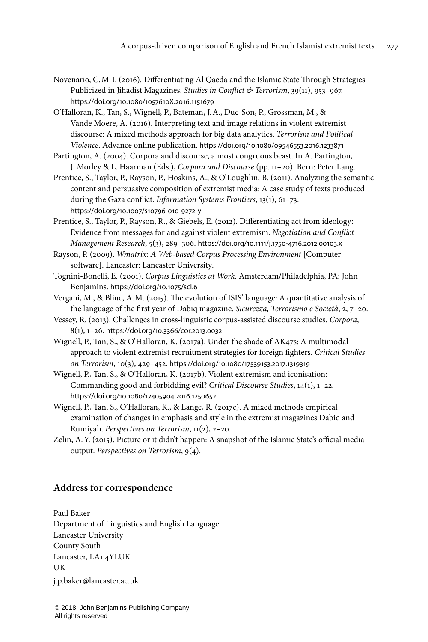- <span id="page-23-1"></span>Novenario, C.M.I. (2016). Differentiating Al Qaeda and the Islamic State Through Strategies Publicized in Jihadist Magazines. Studies in Conflict & Terrorism, 39(11), 953-967. [https://doi.org/10.1080/1057610X.2016.1151679](https://doi.org/10.1080%2F1057610X.2016.1151679)
- <span id="page-23-2"></span>O'Halloran, K., Tan, S., Wignell, P., Bateman, J.A., Duc-Son, P., Grossman, M., & Vande Moere, A. (2016). Interpreting text and image relations in violent extremist discourse: A mixed methods approach for big data analytics. Terrorism and Political Violence. Advance online publication. [https://doi.org/10.1080/09546553.2016.1233871](https://doi.org/10.1080%2F09546553.2016.1233871)
- <span id="page-23-12"></span>Partington, A. (2004). Corpora and discourse, a most congruous beast. In A. Partington, J. Morley & L. Haarman (Eds.), Corpora and Discourse (pp. 11–20). Bern: Peter Lang.
- <span id="page-23-6"></span>Prentice, S., Taylor, P., Rayson, P., Hoskins, A., & O'Loughlin, B. (2011). Analyzing the semantic content and persuasive composition of extremist media: A case study of texts produced during the Gaza conflict. Information Systems Frontiers, 13(1), 61-73. [https://doi.org/10.1007/s10796](https://doi.org/10.1007%2Fs10796-010-9272-y)‑010‑9272‑y
- <span id="page-23-7"></span>Prentice, S., Taylor, P., Rayson, R., & Giebels, E. (2012). Differentiating act from ideology: Evidence from messages for and against violent extremism. Negotiation and Conflict Management Research, 5(3), 289–306. [https://doi.org/10.1111/j.1750](https://doi.org/10.1111%2Fj.1750-4716.2012.00103.x)‑4716.2012.00103.x
- <span id="page-23-8"></span>Rayson, P. (2009). Wmatrix: A Web-based Corpus Processing Environment [Computer software]. Lancaster: Lancaster University.
- <span id="page-23-10"></span>Tognini-Bonelli, E. (2001). Corpus Linguistics at Work. Amsterdam/Philadelphia, PA: John Benjamins. [https://doi.org/10.1075/scl.6](https://doi.org/10.1075%2Fscl.6)
- <span id="page-23-5"></span>Vergani, M., & Bliuc, A.M. (2015). The evolution of ISIS' language: A quantitative analysis of the language of the first year of Dabiq magazine. Sicurezza, Terrorismo e Società, 2, 7–20.
- <span id="page-23-11"></span>Vessey, R. (2013). Challenges in cross-linguistic corpus-assisted discourse studies. Corpora, 8(1), 1–26. [https://doi.org/10.3366/cor.2013.0032](https://doi.org/10.3366%2Fcor.2013.0032)
- <span id="page-23-3"></span>Wignell, P., Tan, S., & O'Halloran, K. (2017a). Under the shade of AK47s: A multimodal approach to violent extremist recruitment strategies for foreign fighters. Critical Studies on Terrorism, 10(3), 429–452. [https://doi.org/10.1080/17539153.2017.1319319](https://doi.org/10.1080%2F17539153.2017.1319319)
- <span id="page-23-4"></span>Wignell, P., Tan, S., & O'Halloran, K. (2017b). Violent extremism and iconisation: Commanding good and forbidding evil? Critical Discourse Studies, 14(1), 1–22. [https://doi.org/10.1080/17405904.2016.1250652](https://doi.org/10.1080%2F17405904.2016.1250652)
- <span id="page-23-9"></span>Wignell, P., Tan, S., O'Halloran, K., & Lange, R. (2017c). A mixed methods empirical examination of changes in emphasis and style in the extremist magazines Dabiq and Rumiyah. Perspectives on Terrorism, 11(2), 2–20.
- <span id="page-23-0"></span>Zelin, A.Y. (2015). Picture or it didn't happen: A snapshot of the Islamic State's official media output. Perspectives on Terrorism, 9(4).

## **Address for correspondence**

Paul Baker Department of Linguistics and English Language Lancaster University County South Lancaster, LA1 4YLUK UK [j.p.baker@lancaster.ac.uk](mailto:j.p.baker@lancaster.ac.uk)